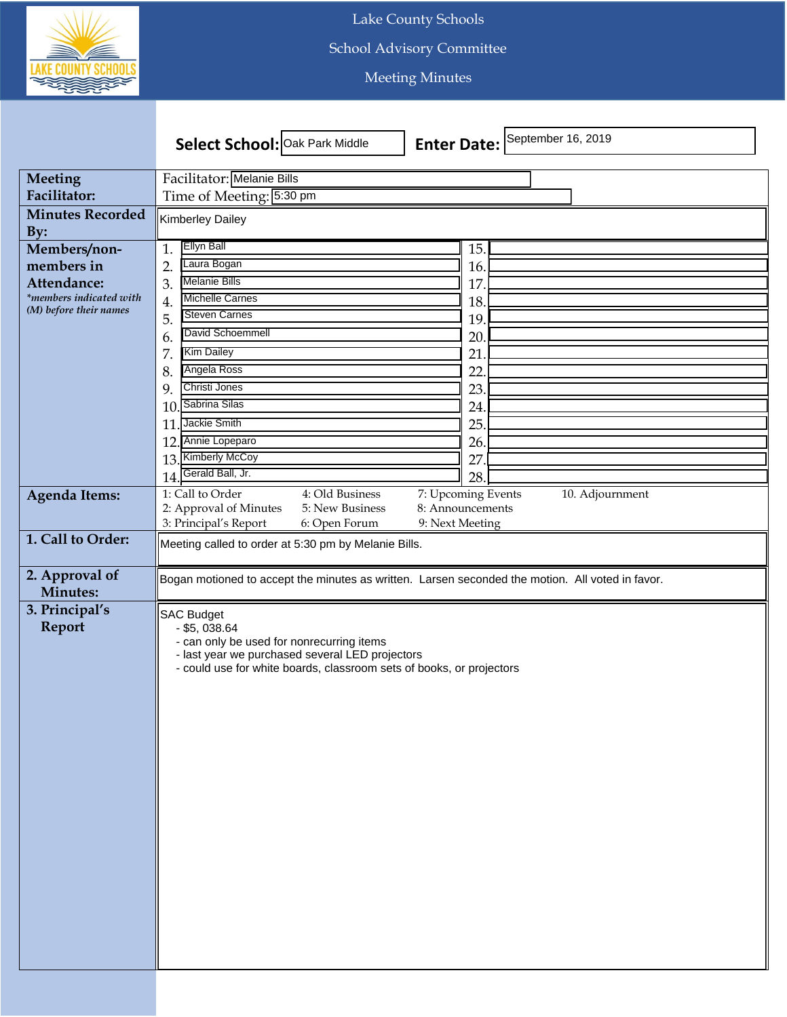

Lake County Schools

School Advisory Committee

Meeting Minutes

|                                   | Select School: Oak Park Middle                                                                   | September 16, 2019<br><b>Enter Date:</b> |
|-----------------------------------|--------------------------------------------------------------------------------------------------|------------------------------------------|
| Meeting                           | Facilitator: Melanie Bills                                                                       |                                          |
| Facilitator:                      | Time of Meeting: 5:30 pm                                                                         |                                          |
| <b>Minutes Recorded</b>           |                                                                                                  |                                          |
| By:                               | Kimberley Dailey                                                                                 |                                          |
| Members/non-                      | <b>Ellyn Ball</b><br>1.                                                                          | 15.                                      |
| members in                        | Laura Bogan<br>$\overline{2}$                                                                    | 16.                                      |
| Attendance:                       | <b>Melanie Bills</b><br>3.                                                                       | 17                                       |
| *members indicated with           | <b>Michelle Carnes</b><br>4.                                                                     | 18.                                      |
| (M) before their names            | <b>Steven Carnes</b><br>5.                                                                       | 19.                                      |
|                                   | David Schoemmell<br>6.                                                                           | 20                                       |
|                                   | <b>Kim Dailey</b><br>7.                                                                          | 21                                       |
|                                   | Angela Ross<br>8.                                                                                | 22                                       |
|                                   | Christi Jones<br>9                                                                               | 23.                                      |
|                                   | Sabrina Silas<br>10                                                                              | 24.                                      |
|                                   | Jackie Smith<br>11                                                                               | 25.                                      |
|                                   | Annie Lopeparo<br>12.                                                                            | 26.                                      |
|                                   | <b>Kimberly McCoy</b><br>13.                                                                     | 27                                       |
|                                   | Gerald Ball, Jr.<br>14                                                                           | 28.                                      |
| <b>Agenda Items:</b>              | 4: Old Business<br>1: Call to Order                                                              | 7: Upcoming Events<br>10. Adjournment    |
|                                   | 2: Approval of Minutes<br>5: New Business                                                        | 8: Announcements                         |
|                                   | 3: Principal's Report<br>6: Open Forum                                                           | 9: Next Meeting                          |
| 1. Call to Order:                 | Meeting called to order at 5:30 pm by Melanie Bills.                                             |                                          |
| 2. Approval of<br><b>Minutes:</b> | Bogan motioned to accept the minutes as written. Larsen seconded the motion. All voted in favor. |                                          |
| 3. Principal's                    |                                                                                                  |                                          |
| <b>Report</b>                     | <b>SAC Budget</b><br>$-$ \$5, 038.64                                                             |                                          |
|                                   | - can only be used for nonrecurring items                                                        |                                          |
|                                   | - last year we purchased several LED projectors                                                  |                                          |
|                                   | - could use for white boards, classroom sets of books, or projectors                             |                                          |
|                                   |                                                                                                  |                                          |
|                                   |                                                                                                  |                                          |
|                                   |                                                                                                  |                                          |
|                                   |                                                                                                  |                                          |
|                                   |                                                                                                  |                                          |
|                                   |                                                                                                  |                                          |
|                                   |                                                                                                  |                                          |
|                                   |                                                                                                  |                                          |
|                                   |                                                                                                  |                                          |
|                                   |                                                                                                  |                                          |
|                                   |                                                                                                  |                                          |
|                                   |                                                                                                  |                                          |
|                                   |                                                                                                  |                                          |
|                                   |                                                                                                  |                                          |
|                                   |                                                                                                  |                                          |
|                                   |                                                                                                  |                                          |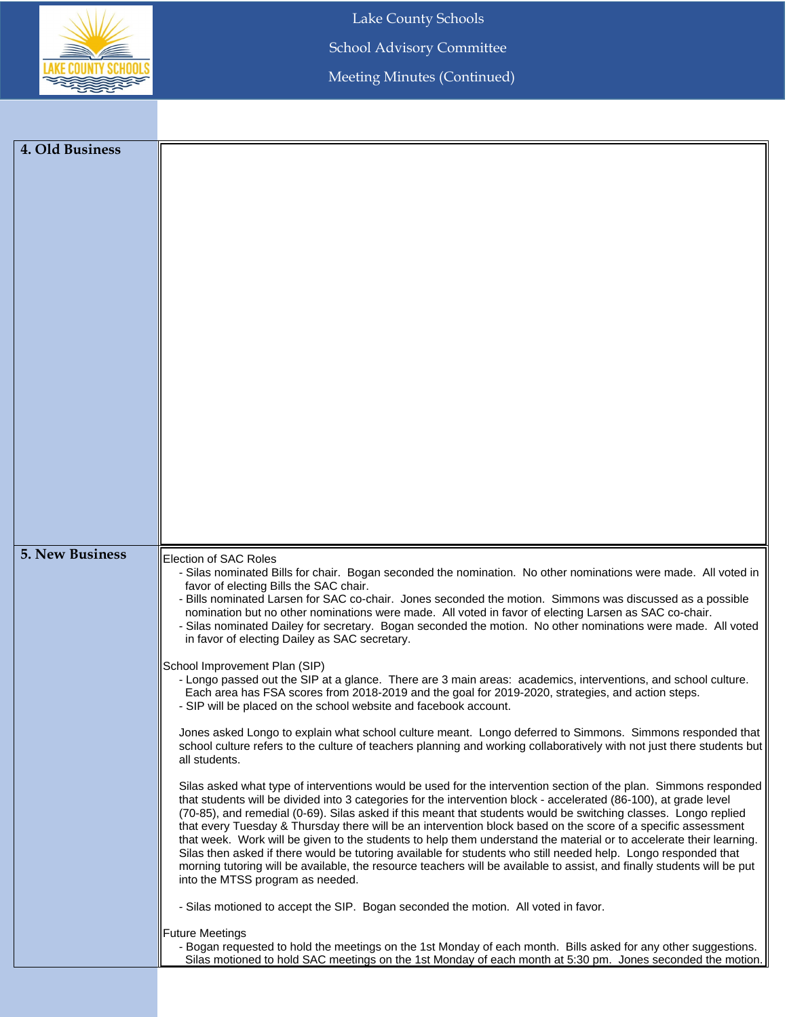

Lake County Schools

School Advisory Committee

Meeting Minutes (Continued)

| 4. Old Business        |                                                                                                                                                                                                                                       |
|------------------------|---------------------------------------------------------------------------------------------------------------------------------------------------------------------------------------------------------------------------------------|
|                        |                                                                                                                                                                                                                                       |
|                        |                                                                                                                                                                                                                                       |
|                        |                                                                                                                                                                                                                                       |
|                        |                                                                                                                                                                                                                                       |
|                        |                                                                                                                                                                                                                                       |
|                        |                                                                                                                                                                                                                                       |
|                        |                                                                                                                                                                                                                                       |
|                        |                                                                                                                                                                                                                                       |
|                        |                                                                                                                                                                                                                                       |
|                        |                                                                                                                                                                                                                                       |
|                        |                                                                                                                                                                                                                                       |
|                        |                                                                                                                                                                                                                                       |
|                        |                                                                                                                                                                                                                                       |
|                        |                                                                                                                                                                                                                                       |
|                        |                                                                                                                                                                                                                                       |
|                        |                                                                                                                                                                                                                                       |
|                        |                                                                                                                                                                                                                                       |
|                        |                                                                                                                                                                                                                                       |
|                        |                                                                                                                                                                                                                                       |
|                        |                                                                                                                                                                                                                                       |
|                        |                                                                                                                                                                                                                                       |
|                        |                                                                                                                                                                                                                                       |
|                        |                                                                                                                                                                                                                                       |
| <b>5. New Business</b> | Election of SAC Roles                                                                                                                                                                                                                 |
|                        | - Silas nominated Bills for chair. Bogan seconded the nomination. No other nominations were made. All voted in                                                                                                                        |
|                        | favor of electing Bills the SAC chair.<br>- Bills nominated Larsen for SAC co-chair. Jones seconded the motion. Simmons was discussed as a possible                                                                                   |
|                        | nomination but no other nominations were made. All voted in favor of electing Larsen as SAC co-chair.                                                                                                                                 |
|                        | - Silas nominated Dailey for secretary. Bogan seconded the motion. No other nominations were made. All voted                                                                                                                          |
|                        | in favor of electing Dailey as SAC secretary.                                                                                                                                                                                         |
|                        | School Improvement Plan (SIP)                                                                                                                                                                                                         |
|                        | - Longo passed out the SIP at a glance. There are 3 main areas: academics, interventions, and school culture.                                                                                                                         |
|                        | Each area has FSA scores from 2018-2019 and the goal for 2019-2020, strategies, and action steps.                                                                                                                                     |
|                        | - SIP will be placed on the school website and facebook account.                                                                                                                                                                      |
|                        | Jones asked Longo to explain what school culture meant. Longo deferred to Simmons. Simmons responded that                                                                                                                             |
|                        | school culture refers to the culture of teachers planning and working collaboratively with not just there students but                                                                                                                |
|                        | all students.                                                                                                                                                                                                                         |
|                        | Silas asked what type of interventions would be used for the intervention section of the plan. Simmons responded                                                                                                                      |
|                        | that students will be divided into 3 categories for the intervention block - accelerated (86-100), at grade level                                                                                                                     |
|                        | (70-85), and remedial (0-69). Silas asked if this meant that students would be switching classes. Longo replied                                                                                                                       |
|                        | that every Tuesday & Thursday there will be an intervention block based on the score of a specific assessment                                                                                                                         |
|                        | that week. Work will be given to the students to help them understand the material or to accelerate their learning.<br>Silas then asked if there would be tutoring available for students who still needed help. Longo responded that |
|                        | morning tutoring will be available, the resource teachers will be available to assist, and finally students will be put                                                                                                               |
|                        | into the MTSS program as needed.                                                                                                                                                                                                      |
|                        |                                                                                                                                                                                                                                       |
|                        | - Silas motioned to accept the SIP. Bogan seconded the motion. All voted in favor.                                                                                                                                                    |
|                        | <b>Future Meetings</b>                                                                                                                                                                                                                |
|                        | - Bogan requested to hold the meetings on the 1st Monday of each month. Bills asked for any other suggestions.                                                                                                                        |
|                        | Silas motioned to hold SAC meetings on the 1st Monday of each month at 5:30 pm. Jones seconded the motion.                                                                                                                            |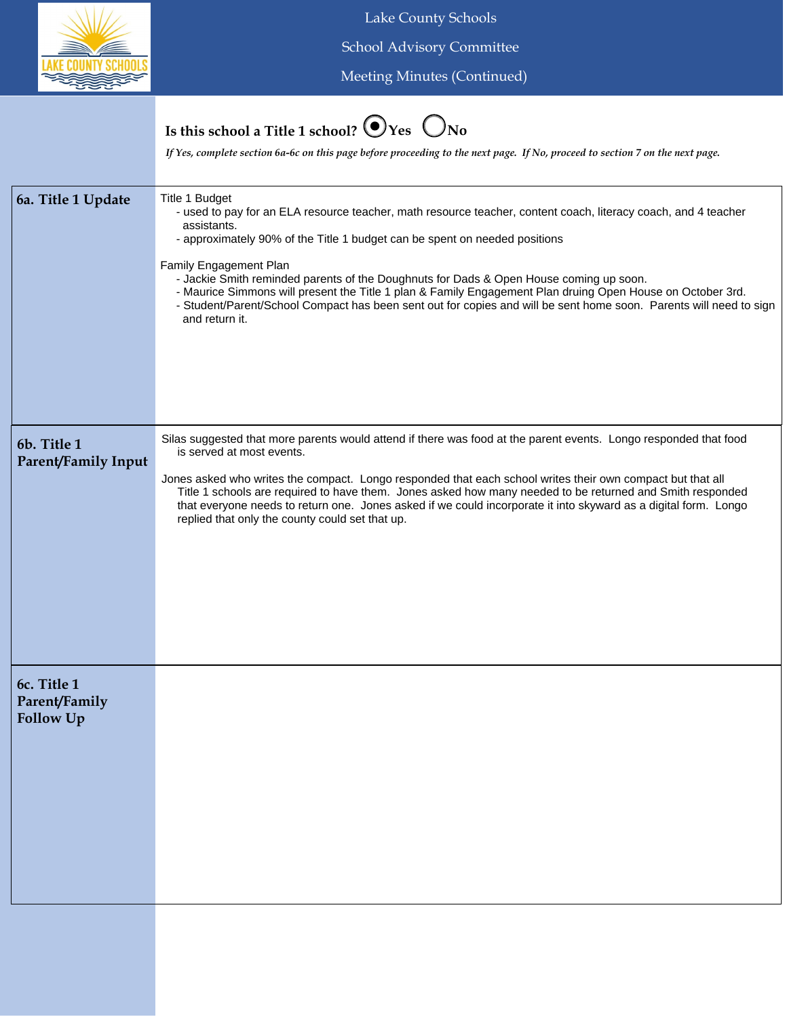

Lake County Schools School Advisory Committee

Meeting Minutes (Continued)

## **Is this school a Title 1 school?**  $\bigcirc$  Yes  $\bigcirc$  No

*If Yes, complete section 6a-6c on this page before proceeding to the next page. If No, proceed to section 7 on the next page.*

| 6a. Title 1 Update                        | Title 1 Budget<br>- used to pay for an ELA resource teacher, math resource teacher, content coach, literacy coach, and 4 teacher<br>assistants.<br>- approximately 90% of the Title 1 budget can be spent on needed positions<br>Family Engagement Plan<br>- Jackie Smith reminded parents of the Doughnuts for Dads & Open House coming up soon.<br>- Maurice Simmons will present the Title 1 plan & Family Engagement Plan druing Open House on October 3rd.<br>- Student/Parent/School Compact has been sent out for copies and will be sent home soon. Parents will need to sign<br>and return it. |
|-------------------------------------------|---------------------------------------------------------------------------------------------------------------------------------------------------------------------------------------------------------------------------------------------------------------------------------------------------------------------------------------------------------------------------------------------------------------------------------------------------------------------------------------------------------------------------------------------------------------------------------------------------------|
| 6b. Title 1<br><b>Parent/Family Input</b> | Silas suggested that more parents would attend if there was food at the parent events. Longo responded that food<br>is served at most events.<br>Jones asked who writes the compact. Longo responded that each school writes their own compact but that all<br>Title 1 schools are required to have them. Jones asked how many needed to be returned and Smith responded<br>that everyone needs to return one. Jones asked if we could incorporate it into skyward as a digital form. Longo<br>replied that only the county could set that up.                                                          |
| 6c. Title 1<br>Parent/Family<br>Follow Up |                                                                                                                                                                                                                                                                                                                                                                                                                                                                                                                                                                                                         |